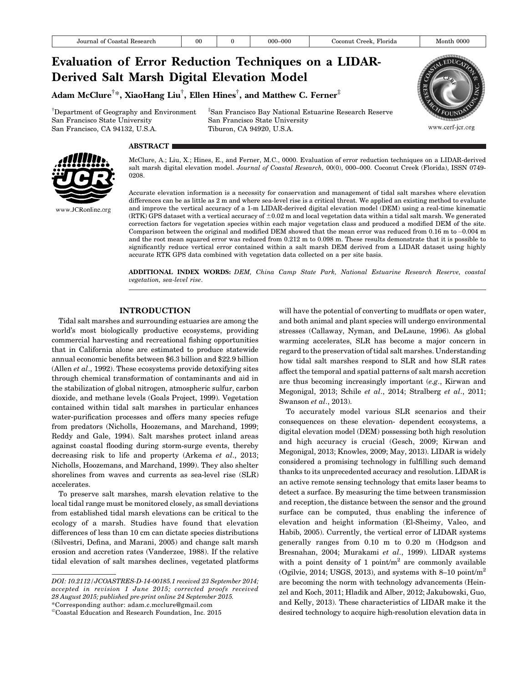www.cerf-jcr.org

# Evaluation of Error Reduction Techniques on a LIDAR-Derived Salt Marsh Digital Elevation Model Adam McClure $^{\dagger *}$ , XiaoHang Liu $^{\dagger}$ , Ellen Hines $^{\dagger}$ , and Matthew C. Ferner $^{\ddagger}$

† Department of Geography and Environment San Francisco State University San Francisco, CA 94132, U.S.A.

‡ San Francisco Bay National Estuarine Research Reserve San Francisco State University Tiburon, CA 94920, U.S.A.

# **ABSTRACT**



McClure, A.; Liu, X.; Hines, E., and Ferner, M.C., 0000. Evaluation of error reduction techniques on a LIDAR-derived salt marsh digital elevation model. Journal of Coastal Research, 00(0), 000-000. Coconut Creek (Florida), ISSN 0749-0208.

Accurate elevation information is a necessity for conservation and management of tidal salt marshes where elevation differences can be as little as 2 m and where sea-level rise is a critical threat. We applied an existing method to evaluate and improve the vertical accuracy of a 1-m LIDAR-derived digital elevation model (DEM) using a real-time kinematic (RTK) GPS dataset with a vertical accuracy of  $\pm 0.02$  m and local vegetation data within a tidal salt marsh. We generated correction factors for vegetation species within each major vegetation class and produced a modified DEM of the site. Comparison between the original and modified DEM showed that the mean error was reduced from 0.16 m to -0.004 m and the root mean squared error was reduced from 0.212 m to 0.098 m. These results demonstrate that it is possible to significantly reduce vertical error contained within a salt marsh DEM derived from a LIDAR dataset using highly accurate RTK GPS data combined with vegetation data collected on a per site basis.

ADDITIONAL INDEX WORDS: DEM, China Camp State Park, National Estuarine Research Reserve, coastal vegetation, sea-level rise.

# INTRODUCTION

Tidal salt marshes and surrounding estuaries are among the world's most biologically productive ecosystems, providing commercial harvesting and recreational fishing opportunities that in California alone are estimated to produce statewide annual economic benefits between \$6.3 billion and \$22.9 billion (Allen *et al.*, 1992). These ecosystems provide detoxifying sites through chemical transformation of contaminants and aid in the stabilization of global nitrogen, atmospheric sulfur, carbon dioxide, and methane levels (Goals Project, 1999). Vegetation contained within tidal salt marshes in particular enhances water-purification processes and offers many species refuge from predators (Nicholls, Hoozemans, and Marchand, 1999; Reddy and Gale, 1994). Salt marshes protect inland areas against coastal flooding during storm-surge events, thereby decreasing risk to life and property (Arkema et al., 2013; Nicholls, Hoozemans, and Marchand, 1999). They also shelter shorelines from waves and currents as sea-level rise (SLR) accelerates.

To preserve salt marshes, marsh elevation relative to the local tidal range must be monitored closely, as small deviations from established tidal marsh elevations can be critical to the ecology of a marsh. Studies have found that elevation differences of less than 10 cm can dictate species distributions (Silvestri, Defina, and Marani, 2005) and change salt marsh erosion and accretion rates (Vanderzee, 1988). If the relative tidal elevation of salt marshes declines, vegetated platforms will have the potential of converting to mudflats or open water, and both animal and plant species will undergo environmental stresses (Callaway, Nyman, and DeLaune, 1996). As global warming accelerates, SLR has become a major concern in regard to the preservation of tidal salt marshes. Understanding how tidal salt marshes respond to SLR and how SLR rates affect the temporal and spatial patterns of salt marsh accretion are thus becoming increasingly important (e.g., Kirwan and Megonigal, 2013; Schile et al., 2014; Stralberg et al., 2011; Swanson et al., 2013).

To accurately model various SLR scenarios and their consequences on these elevation- dependent ecosystems, a digital elevation model (DEM) possessing both high resolution and high accuracy is crucial (Gesch, 2009; Kirwan and Megonigal, 2013; Knowles, 2009; May, 2013). LIDAR is widely considered a promising technology in fulfilling such demand thanks to its unprecedented accuracy and resolution. LIDAR is an active remote sensing technology that emits laser beams to detect a surface. By measuring the time between transmission and reception, the distance between the sensor and the ground surface can be computed, thus enabling the inference of elevation and height information (El-Sheimy, Valeo, and Habib, 2005). Currently, the vertical error of LIDAR systems generally ranges from 0.10 m to 0.20 m (Hodgson and Bresnahan, 2004; Murakami et al., 1999). LIDAR systems with a point density of 1 point/ $m<sup>2</sup>$  are commonly available (Ogilvie, 2014; USGS, 2013), and systems with  $8-10$  point/m<sup>2</sup> are becoming the norm with technology advancements (Heinzel and Koch, 2011; Hladik and Alber, 2012; Jakubowski, Guo, and Kelly, 2013). These characteristics of LIDAR make it the desired technology to acquire high-resolution elevation data in

DOI: 10.2112/JCOASTRES-D-14-00185.1 received 23 September 2014; accepted in revision 1 June 2015; corrected proofs received 28 August 2015; published pre-print online 24 September 2015. \*Corresponding author: adam.c.mcclure@gmail.com

<sup>-</sup>Coastal Education and Research Foundation, Inc. 2015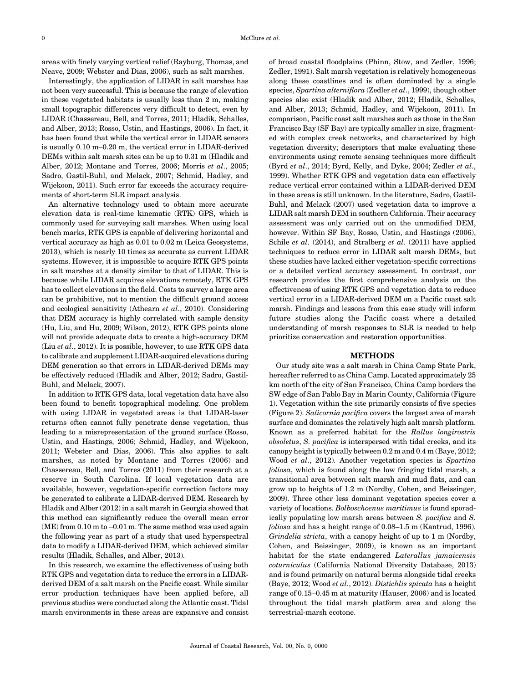areas with finely varying vertical relief (Rayburg, Thomas, and Neave, 2009; Webster and Dias, 2006), such as salt marshes.

Interestingly, the application of LIDAR in salt marshes has not been very successful. This is because the range of elevation in these vegetated habitats is usually less than 2 m, making small topographic differences very difficult to detect, even by LIDAR (Chassereau, Bell, and Torres, 2011; Hladik, Schalles, and Alber, 2013; Rosso, Ustin, and Hastings, 2006). In fact, it has been found that while the vertical error in LIDAR sensors is usually 0.10 m–0.20 m, the vertical error in LIDAR-derived DEMs within salt marsh sites can be up to 0.31 m (Hladik and Alber, 2012; Montane and Torres, 2006; Morris et al., 2005; Sadro, Gastil-Buhl, and Melack, 2007; Schmid, Hadley, and Wijekoon, 2011). Such error far exceeds the accuracy requirements of short-term SLR impact analysis.

An alternative technology used to obtain more accurate elevation data is real-time kinematic (RTK) GPS, which is commonly used for surveying salt marshes. When using local bench marks, RTK GPS is capable of delivering horizontal and vertical accuracy as high as 0.01 to 0.02 m (Leica Geosystems, 2013), which is nearly 10 times as accurate as current LIDAR systems. However, it is impossible to acquire RTK GPS points in salt marshes at a density similar to that of LIDAR. This is because while LIDAR acquires elevations remotely, RTK GPS has to collect elevations in the field. Costs to survey a large area can be prohibitive, not to mention the difficult ground access and ecological sensitivity (Athearn et al., 2010). Considering that DEM accuracy is highly correlated with sample density (Hu, Liu, and Hu, 2009; Wilson, 2012), RTK GPS points alone will not provide adequate data to create a high-accuracy DEM (Liu et al., 2012). It is possible, however, to use RTK GPS data to calibrate and supplement LIDAR-acquired elevations during DEM generation so that errors in LIDAR-derived DEMs may be effectively reduced (Hladik and Alber, 2012; Sadro, Gastil-Buhl, and Melack, 2007).

In addition to RTK GPS data, local vegetation data have also been found to benefit topographical modeling. One problem with using LIDAR in vegetated areas is that LIDAR-laser returns often cannot fully penetrate dense vegetation, thus leading to a misrepresentation of the ground surface (Rosso, Ustin, and Hastings, 2006; Schmid, Hadley, and Wijekoon, 2011; Webster and Dias, 2006). This also applies to salt marshes, as noted by Montane and Torres (2006) and Chassereau, Bell, and Torres (2011) from their research at a reserve in South Carolina. If local vegetation data are available, however, vegetation-specific correction factors may be generated to calibrate a LIDAR-derived DEM. Research by Hladik and Alber (2012) in a salt marsh in Georgia showed that this method can significantly reduce the overall mean error (ME) from 0.10 m to-0.01 m. The same method was used again the following year as part of a study that used hyperspectral data to modify a LIDAR-derived DEM, which achieved similar results (Hladik, Schalles, and Alber, 2013).

In this research, we examine the effectiveness of using both RTK GPS and vegetation data to reduce the errors in a LIDARderived DEM of a salt marsh on the Pacific coast. While similar error production techniques have been applied before, all previous studies were conducted along the Atlantic coast. Tidal marsh environments in these areas are expansive and consist

of broad coastal floodplains (Phinn, Stow, and Zedler, 1996; Zedler, 1991). Salt marsh vegetation is relatively homogeneous along these coastlines and is often dominated by a single species, Spartina alterniflora (Zedler et al., 1999), though other species also exist (Hladik and Alber, 2012; Hladik, Schalles, and Alber, 2013; Schmid, Hadley, and Wijekoon, 2011). In comparison, Pacific coast salt marshes such as those in the San Francisco Bay (SF Bay) are typically smaller in size, fragmented with complex creek networks, and characterized by high vegetation diversity; descriptors that make evaluating these environments using remote sensing techniques more difficult (Byrd et al., 2014; Byrd, Kelly, and Dyke, 2004; Zedler et al., 1999). Whether RTK GPS and vegetation data can effectively reduce vertical error contained within a LIDAR-derived DEM in these areas is still unknown. In the literature, Sadro, Gastil-Buhl, and Melack (2007) used vegetation data to improve a LIDAR salt marsh DEM in southern California. Their accuracy assessment was only carried out on the unmodified DEM, however. Within SF Bay, Rosso, Ustin, and Hastings (2006), Schile et al. (2014), and Stralberg et al. (2011) have applied techniques to reduce error in LIDAR salt marsh DEMs, but these studies have lacked either vegetation-specific corrections or a detailed vertical accuracy assessment. In contrast, our research provides the first comprehensive analysis on the effectiveness of using RTK GPS and vegetation data to reduce vertical error in a LIDAR-derived DEM on a Pacific coast salt marsh. Findings and lessons from this case study will inform future studies along the Pacific coast where a detailed understanding of marsh responses to SLR is needed to help prioritize conservation and restoration opportunities.

#### METHODS

Our study site was a salt marsh in China Camp State Park, hereafter referred to as China Camp. Located approximately 25 km north of the city of San Francisco, China Camp borders the SW edge of San Pablo Bay in Marin County, California (Figure 1). Vegetation within the site primarily consists of five species (Figure 2). Salicornia pacifica covers the largest area of marsh surface and dominates the relatively high salt marsh platform. Known as a preferred habitat for the Rallus longirostris obsoletus, S. pacifica is interspersed with tidal creeks, and its canopy height is typically between 0.2 m and 0.4 m (Baye, 2012; Wood et al., 2012). Another vegetation species is Spartina foliosa, which is found along the low fringing tidal marsh, a transitional area between salt marsh and mud flats, and can grow up to heights of 1.2 m (Nordby, Cohen, and Beissinger, 2009). Three other less dominant vegetation species cover a variety of locations. Bolboschoenus maritimus is found sporadically populating low marsh areas between S. pacifica and S. foliosa and has a height range of 0.08–1.5 m (Kantrud, 1996). Grindelia stricta, with a canopy height of up to 1 m (Nordby, Cohen, and Beissinger, 2009), is known as an important habitat for the state endangered Laterallus jamaicensis coturniculus (California National Diversity Database, 2013) and is found primarily on natural berms alongside tidal creeks (Baye, 2012; Wood et al., 2012). Distichlis spicata has a height range of 0.15–0.45 m at maturity (Hauser, 2006) and is located throughout the tidal marsh platform area and along the terrestrial-marsh ecotone.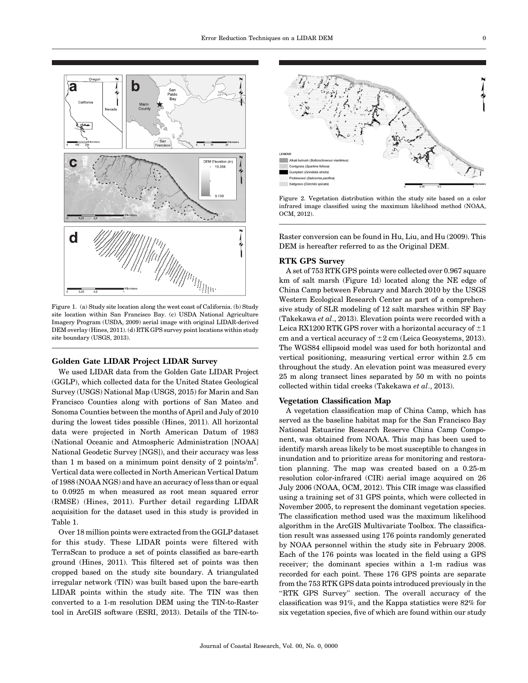

Figure 1. (a) Study site location along the west coast of California. (b) Study site location within San Francisco Bay. (c) USDA National Agriculture Imagery Program (USDA, 2009) aerial image with original LIDAR-derived DEM overlay (Hines, 2011). (d) RTK GPS survey point locations within study site boundary (USGS, 2013).

### Golden Gate LIDAR Project LIDAR Survey

We used LIDAR data from the Golden Gate LIDAR Project (GGLP), which collected data for the United States Geological Survey (USGS) National Map (USGS, 2015) for Marin and San Francisco Counties along with portions of San Mateo and Sonoma Counties between the months of April and July of 2010 during the lowest tides possible (Hines, 2011). All horizontal data were projected in North American Datum of 1983 (National Oceanic and Atmospheric Administration [NOAA] National Geodetic Survey [NGS]), and their accuracy was less than 1 m based on a minimum point density of 2 points/ $m^2$ . Vertical data were collected in North American Vertical Datum of 1988 (NOAA NGS) and have an accuracy of less than or equal to 0.0925 m when measured as root mean squared error (RMSE) (Hines, 2011). Further detail regarding LIDAR acquisition for the dataset used in this study is provided in Table 1.

Over 18 million points were extracted from the GGLP dataset for this study. These LIDAR points were filtered with TerraScan to produce a set of points classified as bare-earth ground (Hines, 2011). This filtered set of points was then cropped based on the study site boundary. A triangulated irregular network (TIN) was built based upon the bare-earth LIDAR points within the study site. The TIN was then converted to a 1-m resolution DEM using the TIN-to-Raster tool in ArcGIS software (ESRI, 2013). Details of the TIN-to-



Figure 2. Vegetation distribution within the study site based on a color infrared image classified using the maximum likelihood method (NOAA, OCM, 2012).

Raster conversion can be found in Hu, Liu, and Hu (2009). This DEM is hereafter referred to as the Original DEM.

# RTK GPS Survey

A set of 753 RTK GPS points were collected over 0.967 square km of salt marsh (Figure 1d) located along the NE edge of China Camp between February and March 2010 by the USGS Western Ecological Research Center as part of a comprehensive study of SLR modeling of 12 salt marshes within SF Bay (Takekawa et al., 2013). Elevation points were recorded with a Leica RX1200 RTK GPS rover with a horizontal accuracy of  $\pm 1$ cm and a vertical accuracy of  $\pm 2$  cm (Leica Geosystems, 2013). The WGS84 ellipsoid model was used for both horizontal and vertical positioning, measuring vertical error within 2.5 cm throughout the study. An elevation point was measured every 25 m along transect lines separated by 50 m with no points collected within tidal creeks (Takekawa et al., 2013).

# Vegetation Classification Map

A vegetation classification map of China Camp, which has served as the baseline habitat map for the San Francisco Bay National Estuarine Research Reserve China Camp Component, was obtained from NOAA. This map has been used to identify marsh areas likely to be most susceptible to changes in inundation and to prioritize areas for monitoring and restoration planning. The map was created based on a 0.25-m resolution color-infrared (CIR) aerial image acquired on 26 July 2006 (NOAA, OCM, 2012). This CIR image was classified using a training set of 31 GPS points, which were collected in November 2005, to represent the dominant vegetation species. The classification method used was the maximum likelihood algorithm in the ArcGIS Multivariate Toolbox. The classification result was assessed using 176 points randomly generated by NOAA personnel within the study site in February 2008. Each of the 176 points was located in the field using a GPS receiver; the dominant species within a 1-m radius was recorded for each point. These 176 GPS points are separate from the 753 RTK GPS data points introduced previously in the "RTK GPS Survey" section. The overall accuracy of the classification was 91%, and the Kappa statistics were 82% for six vegetation species, five of which are found within our study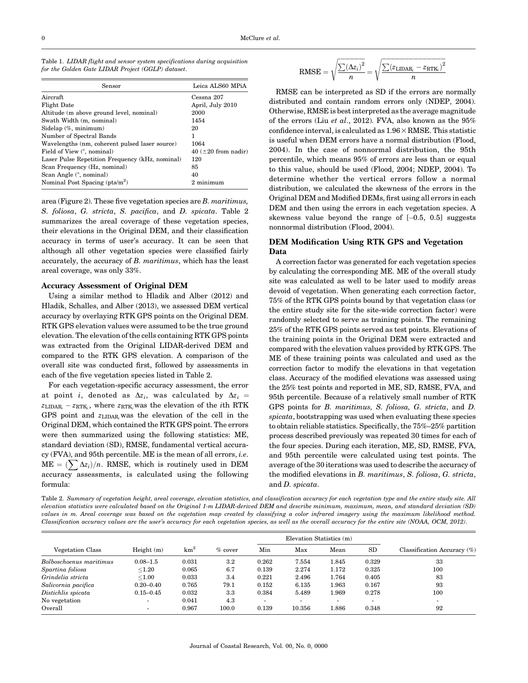| Sensor                                          | Leica ALS60 MPiA          |
|-------------------------------------------------|---------------------------|
| Aircraft.                                       | Cessna 207                |
| Flight Date                                     | April, July 2010          |
| Altitude (m above ground level, nominal)        | 2000                      |
| Swath Width (m, nominal)                        | 1454                      |
| Sidelap (%, minimum)                            | 20                        |
| Number of Spectral Bands                        | 1                         |
| Wavelengths (nm, coherent pulsed laser source)  | 1064                      |
| Field of View (°, nominal)                      | 40 ( $\pm 20$ from nadir) |
| Laser Pulse Repetition Frequency (kHz, nominal) | 120                       |
| Scan Frequency (Hz, nominal)                    | 85                        |
| Scan Angle (°, nominal)                         | 40                        |
| Nominal Post Spacing $(\text{pts/m}^2)$         | 2 minimum                 |

Table 1. LIDAR flight and sensor system specifications during acquisition for the Golden Gate LIDAR Project (GGLP) dataset.

area (Figure 2). These five vegetation species are B. maritimus, S. foliosa, G. stricta, S. pacifica, and D. spicata. Table 2 summarizes the areal coverage of these vegetation species, their elevations in the Original DEM, and their classification accuracy in terms of user's accuracy. It can be seen that although all other vegetation species were classified fairly accurately, the accuracy of B. maritimus, which has the least areal coverage, was only 33%.

#### Accuracy Assessment of Original DEM

Using a similar method to Hladik and Alber (2012) and Hladik, Schalles, and Alber (2013), we assessed DEM vertical accuracy by overlaying RTK GPS points on the Original DEM. RTK GPS elevation values were assumed to be the true ground elevation. The elevation of the cells containing RTK GPS points was extracted from the Original LIDAR-derived DEM and compared to the RTK GPS elevation. A comparison of the overall site was conducted first, followed by assessments in each of the five vegetation species listed in Table 2.

For each vegetation-specific accuracy assessment, the error at point i, denoted as  $\Delta z_i$ , was calculated by  $\Delta z_i$  =  $z_{\text{LIDAR}_i} - z_{\text{RTK}_i}$ , where  $z_{\text{RTK}_i}$  was the elevation of the *i*th RTK GPS point and  $z_{\text{LIDAR}_i}$  was the elevation of the cell in the Original DEM, which contained the RTK GPS point. The errors were then summarized using the following statistics: ME, standard deviation (SD), RMSE, fundamental vertical accuracy (FVA), and 95th percentile. ME is the mean of all errors, i.e.  $ME = (\sum \Delta z_i)/n$ . RMSE, which is routinely used in DEM accuracy assessments, is calculated using the following formula:

$$
\text{RMSE} = \sqrt{\frac{\sum(\Delta z_i)^2}{n}} = \sqrt{\frac{\sum(z_{\text{LIDAR}_i} - z_{\text{RTK}_i})^2}{n}}
$$

RMSE can be interpreted as SD if the errors are normally distributed and contain random errors only (NDEP, 2004). Otherwise, RMSE is best interpreted as the average magnitude of the errors (Liu et al., 2012). FVA, also known as the  $95\%$ confidence interval, is calculated as  $1.96\times$  RMSE. This statistic is useful when DEM errors have a normal distribution (Flood, 2004). In the case of nonnormal distribution, the 95th percentile, which means 95% of errors are less than or equal to this value, should be used (Flood, 2004; NDEP, 2004). To determine whether the vertical errors follow a normal distribution, we calculated the skewness of the errors in the Original DEM and Modified DEMs, first using all errors in each DEM and then using the errors in each vegetation species. A skewness value beyond the range of  $[-0.5, 0.5]$  suggests nonnormal distribution (Flood, 2004).

# DEM Modification Using RTK GPS and Vegetation Data

A correction factor was generated for each vegetation species by calculating the corresponding ME. ME of the overall study site was calculated as well to be later used to modify areas devoid of vegetation. When generating each correction factor, 75% of the RTK GPS points bound by that vegetation class (or the entire study site for the site-wide correction factor) were randomly selected to serve as training points. The remaining 25% of the RTK GPS points served as test points. Elevations of the training points in the Original DEM were extracted and compared with the elevation values provided by RTK GPS. The ME of these training points was calculated and used as the correction factor to modify the elevations in that vegetation class. Accuracy of the modified elevations was assessed using the 25% test points and reported in ME, SD, RMSE, FVA, and 95th percentile. Because of a relatively small number of RTK GPS points for B. maritimus, S. foliosa, G. stricta, and D. spicata, bootstrapping was used when evaluating these species to obtain reliable statistics. Specifically, the 75%–25% partition process described previously was repeated 30 times for each of the four species. During each iteration, ME, SD, RMSE, FVA, and 95th percentile were calculated using test points. The average of the 30 iterations was used to describe the accuracy of the modified elevations in B. maritimus, S. foliosa, G. stricta, and D. spicata.

Table 2. Summary of vegetation height, areal coverage, elevation statistics, and classification accuracy for each vegetation type and the entire study site. All elevation statistics were calculated based on the Original 1-m LIDAR-derived DEM and describe minimum, maximum, mean, and standard deviation (SD) values in m. Areal coverage was based on the vegetation map created by classifying a color infrared imagery using the maximum likelihood method. Classification accuracy values are the user's accuracy for each vegetation species, as well as the overall accuracy for the entire site (NOAA, OCM, 2012).

|                         |                          |            |           |                          | Elevation Statistics (m) |       |       |                                |
|-------------------------|--------------------------|------------|-----------|--------------------------|--------------------------|-------|-------|--------------------------------|
| Vegetation Class        | Height $(m)$             | $\rm km^2$ | $%$ cover | Min                      | Max                      | Mean  | SD    | Classification Accuracy $(\%)$ |
| Bolboschoenus maritimus | $0.08 - 1.5$             | 0.031      | 3.2       | 0.262                    | 7.554                    | 1.845 | 0.329 | 33                             |
| Spartina foliosa        | $<$ 1.20                 | 0.065      | 6.7       | 0.139                    | 2.274                    | 1.172 | 0.325 | 100                            |
| Grindelia stricta       | < 1.00                   | 0.033      | 3.4       | 0.221                    | 2.496                    | 1.764 | 0.405 | 83                             |
| Salicornia pacifica     | $0.20 - 0.40$            | 0.765      | 79.1      | 0.152                    | 6.135                    | 1.963 | 0.167 | 93                             |
| Distichlis spicata      | $0.15 - 0.45$            | 0.032      | 3.3       | 0.384                    | 5.489                    | 1.969 | 0.278 | 100                            |
| No vegetation           | $\overline{\phantom{0}}$ | 0.041      | 4.3       | $\overline{\phantom{0}}$ |                          |       |       | $\overline{\phantom{0}}$       |
| Overall                 | $\overline{\phantom{a}}$ | 0.967      | 100.0     | 0.139                    | 10.356                   | 1.886 | 0.348 | 92                             |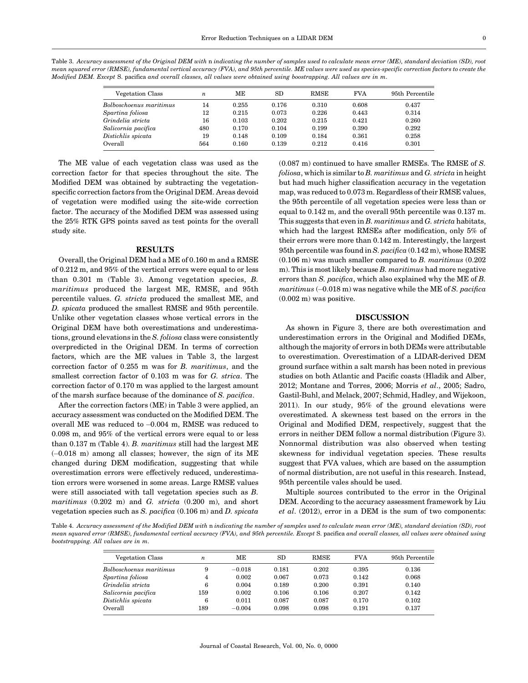| Table 3. Accuracy assessment of the Original DEM with $\bm{\mathrm{n}}$ indicating the number of samples used to calculate mean error (ME), standard deviation (SD), root |
|---------------------------------------------------------------------------------------------------------------------------------------------------------------------------|
| mean squared error (RMSE), fundamental vertical accuracy (FVA), and 95th percentile. ME values were used as species-specific correction factors to create the             |
| Modified DEM. Except S. pacifica and overall classes, all values were obtained using boostrapping. All values are in m.                                                   |

| Vegetation Class        | $\boldsymbol{n}$ | MЕ    | SD    | <b>RMSE</b> | <b>FVA</b> | 95th Percentile |
|-------------------------|------------------|-------|-------|-------------|------------|-----------------|
| Bolboschoenus maritimus | 14               | 0.255 | 0.176 | 0.310       | 0.608      | 0.437           |
| Spartina foliosa        | 12               | 0.215 | 0.073 | 0.226       | 0.443      | 0.314           |
| Grindelia stricta       | 16               | 0.103 | 0.202 | 0.215       | 0.421      | 0.260           |
| Salicornia pacifica     | 480              | 0.170 | 0.104 | 0.199       | 0.390      | 0.292           |
| Distichlis spicata      | 19               | 0.148 | 0.109 | 0.184       | 0.361      | 0.258           |
| Overall                 | 564              | 0.160 | 0.139 | 0.212       | 0.416      | 0.301           |

The ME value of each vegetation class was used as the correction factor for that species throughout the site. The Modified DEM was obtained by subtracting the vegetationspecific correction factors from the Original DEM. Areas devoid of vegetation were modified using the site-wide correction factor. The accuracy of the Modified DEM was assessed using the 25% RTK GPS points saved as test points for the overall study site.

# RESULTS

Overall, the Original DEM had a ME of 0.160 m and a RMSE of 0.212 m, and 95% of the vertical errors were equal to or less than 0.301 m (Table 3). Among vegetation species, B. maritimus produced the largest ME, RMSE, and 95th percentile values. G. stricta produced the smallest ME, and D. spicata produced the smallest RMSE and 95th percentile. Unlike other vegetation classes whose vertical errors in the Original DEM have both overestimations and underestimations, ground elevations in the S. foliosa class were consistently overpredicted in the Original DEM. In terms of correction factors, which are the ME values in Table 3, the largest correction factor of 0.255 m was for B. maritimus, and the smallest correction factor of 0.103 m was for G. strica. The correction factor of 0.170 m was applied to the largest amount of the marsh surface because of the dominance of S. pacifica.

After the correction factors (ME) in Table 3 were applied, an accuracy assessment was conducted on the Modified DEM. The overall ME was reduced to -0.004 m, RMSE was reduced to 0.098 m, and 95% of the vertical errors were equal to or less than 0.137 m (Table 4). B. maritimus still had the largest ME (-0.018 m) among all classes; however, the sign of its ME changed during DEM modification, suggesting that while overestimation errors were effectively reduced, underestimation errors were worsened in some areas. Large RMSE values were still associated with tall vegetation species such as B. maritimus (0.202 m) and G. stricta (0.200 m), and short vegetation species such as S. pacifica  $(0.106 \text{ m})$  and D. spicata

(0.087 m) continued to have smaller RMSEs. The RMSE of S.  $foliosa$ , which is similar to B. maritimus and G. stricta in height but had much higher classification accuracy in the vegetation map, was reduced to 0.073 m. Regardless of their RMSE values, the 95th percentile of all vegetation species were less than or equal to 0.142 m, and the overall 95th percentile was 0.137 m. This suggests that even in B. maritimus and  $G$ . stricta habitats, which had the largest RMSEs after modification, only 5% of their errors were more than 0.142 m. Interestingly, the largest 95th percentile was found in S. pacifica  $(0.142 \text{ m})$ , whose RMSE (0.106 m) was much smaller compared to B. maritimus (0.202 m). This is most likely because  $B$ . maritimus had more negative errors than S. pacifica, which also explained why the ME of B.  $maritimus\ (-0.018\ m)$  was negative while the ME of S.  $pacifica$ (0.002 m) was positive.

# DISCUSSION

As shown in Figure 3, there are both overestimation and underestimation errors in the Original and Modified DEMs, although the majority of errors in both DEMs were attributable to overestimation. Overestimation of a LIDAR-derived DEM ground surface within a salt marsh has been noted in previous studies on both Atlantic and Pacific coasts (Hladik and Alber, 2012; Montane and Torres, 2006; Morris et al., 2005; Sadro, Gastil-Buhl, and Melack, 2007; Schmid, Hadley, and Wijekoon, 2011). In our study, 95% of the ground elevations were overestimated. A skewness test based on the errors in the Original and Modified DEM, respectively, suggest that the errors in neither DEM follow a normal distribution (Figure 3). Nonnormal distribution was also observed when testing skewness for individual vegetation species. These results suggest that FVA values, which are based on the assumption of normal distribution, are not useful in this research. Instead, 95th percentile vales should be used.

Multiple sources contributed to the error in the Original DEM. According to the accuracy assessment framework by Liu et al. (2012), error in a DEM is the sum of two components:

Table 4. Accuracy assessment of the Modified DEM with n indicating the number of samples used to calculate mean error (ME), standard deviation (SD), root mean squared error (RMSE), fundamental vertical accuracy (FVA), and 95th percentile. Except S. pacifica and overall classes, all values were obtained using bootstrapping. All values are in m.

| Vegetation Class        | $\boldsymbol{n}$ | MЕ       | SD    | <b>RMSE</b> | <b>FVA</b> | 95th Percentile |
|-------------------------|------------------|----------|-------|-------------|------------|-----------------|
| Bolboschoenus maritimus | 9                | $-0.018$ | 0.181 | 0.202       | 0.395      | 0.136           |
| Spartina foliosa        | 4                | 0.002    | 0.067 | 0.073       | 0.142      | 0.068           |
| Grindelia stricta       | 6                | 0.004    | 0.189 | 0.200       | 0.391      | 0.140           |
| Salicornia pacifica     | 159              | 0.002    | 0.106 | 0.106       | 0.207      | 0.142           |
| Distichlis spicata      | 6                | 0.011    | 0.087 | 0.087       | 0.170      | 0.102           |
| Overall                 | 189              | $-0.004$ | 0.098 | 0.098       | 0.191      | 0.137           |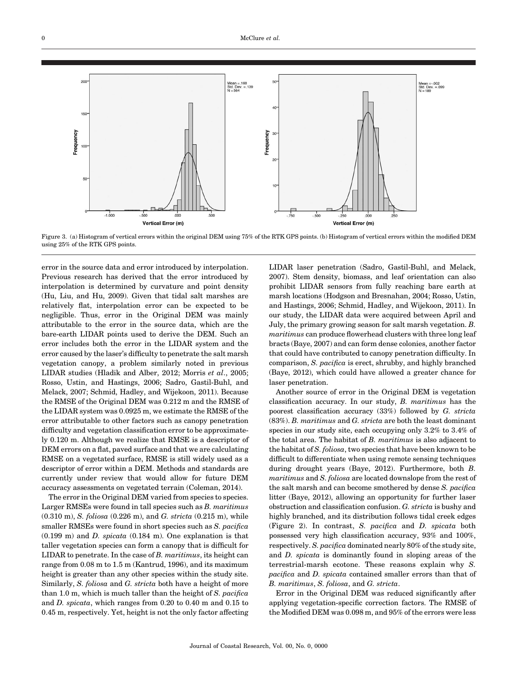

Figure 3. (a) Histogram of vertical errors within the original DEM using 75% of the RTK GPS points. (b) Histogram of vertical errors within the modified DEM using 25% of the RTK GPS points.

error in the source data and error introduced by interpolation. Previous research has derived that the error introduced by interpolation is determined by curvature and point density (Hu, Liu, and Hu, 2009). Given that tidal salt marshes are relatively flat, interpolation error can be expected to be negligible. Thus, error in the Original DEM was mainly attributable to the error in the source data, which are the bare-earth LIDAR points used to derive the DEM. Such an error includes both the error in the LIDAR system and the error caused by the laser's difficulty to penetrate the salt marsh vegetation canopy, a problem similarly noted in previous LIDAR studies (Hladik and Alber, 2012; Morris et al., 2005; Rosso, Ustin, and Hastings, 2006; Sadro, Gastil-Buhl, and Melack, 2007; Schmid, Hadley, and Wijekoon, 2011). Because the RMSE of the Original DEM was 0.212 m and the RMSE of the LIDAR system was 0.0925 m, we estimate the RMSE of the error attributable to other factors such as canopy penetration difficulty and vegetation classification error to be approximately 0.120 m. Although we realize that RMSE is a descriptor of DEM errors on a flat, paved surface and that we are calculating RMSE on a vegetated surface, RMSE is still widely used as a descriptor of error within a DEM. Methods and standards are currently under review that would allow for future DEM accuracy assessments on vegetated terrain (Coleman, 2014).

The error in the Original DEM varied from species to species. Larger RMSEs were found in tall species such as B. maritimus (0.310 m), S. foliosa (0.226 m), and G. stricta (0.215 m), while smaller RMSEs were found in short species such as S. pacifica (0.199 m) and D. spicata (0.184 m). One explanation is that taller vegetation species can form a canopy that is difficult for LIDAR to penetrate. In the case of  $B$ . maritimus, its height can range from 0.08 m to 1.5 m (Kantrud, 1996), and its maximum height is greater than any other species within the study site. Similarly, S. foliosa and G. stricta both have a height of more than 1.0 m, which is much taller than the height of  $S$ . pacifica and D. spicata, which ranges from 0.20 to 0.40 m and 0.15 to 0.45 m, respectively. Yet, height is not the only factor affecting

LIDAR laser penetration (Sadro, Gastil-Buhl, and Melack, 2007). Stem density, biomass, and leaf orientation can also prohibit LIDAR sensors from fully reaching bare earth at marsh locations (Hodgson and Bresnahan, 2004; Rosso, Ustin, and Hastings, 2006; Schmid, Hadley, and Wijekoon, 2011). In our study, the LIDAR data were acquired between April and July, the primary growing season for salt marsh vegetation. B. maritimus can produce flowerhead clusters with three long leaf bracts (Baye, 2007) and can form dense colonies, another factor that could have contributed to canopy penetration difficulty. In comparison, S. pacifica is erect, shrubby, and highly branched (Baye, 2012), which could have allowed a greater chance for laser penetration.

Another source of error in the Original DEM is vegetation classification accuracy. In our study, B. maritimus has the poorest classification accuracy (33%) followed by G. stricta (83%). B. maritimus and G. stricta are both the least dominant species in our study site, each occupying only 3.2% to 3.4% of the total area. The habitat of  $B$ . maritimus is also adjacent to the habitat of S. foliosa, two species that have been known to be difficult to differentiate when using remote sensing techniques during drought years (Baye, 2012). Furthermore, both B. maritimus and S. foliosa are located downslope from the rest of the salt marsh and can become smothered by dense S. pacifica litter (Baye, 2012), allowing an opportunity for further laser obstruction and classification confusion. G. stricta is bushy and highly branched, and its distribution follows tidal creek edges (Figure 2). In contrast, S. pacifica and D. spicata both possessed very high classification accuracy, 93% and 100%, respectively. S. pacifica dominated nearly 80% of the study site, and D. spicata is dominantly found in sloping areas of the terrestrial-marsh ecotone. These reasons explain why S. pacifica and D. spicata contained smaller errors than that of B. maritimus, S. foliosa, and G. stricta.

Error in the Original DEM was reduced significantly after applying vegetation-specific correction factors. The RMSE of the Modified DEM was 0.098 m, and 95% of the errors were less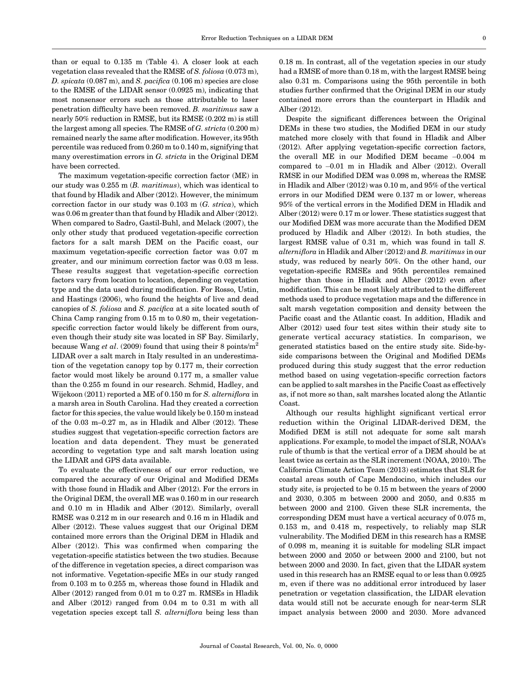than or equal to 0.135 m (Table 4). A closer look at each vegetation class revealed that the RMSE of S. foliosa (0.073 m), D. spicata (0.087 m), and S. pacifica (0.106 m) species are close to the RMSE of the LIDAR sensor (0.0925 m), indicating that most nonsensor errors such as those attributable to laser penetration difficulty have been removed. B. maritimus saw a nearly 50% reduction in RMSE, but its RMSE (0.202 m) is still the largest among all species. The RMSE of  $G$ . stricta  $(0.200 \text{ m})$ remained nearly the same after modification. However, its 95th percentile was reduced from 0.260 m to 0.140 m, signifying that many overestimation errors in G. stricta in the Original DEM have been corrected.

The maximum vegetation-specific correction factor (ME) in our study was 0.255 m (B. maritimus), which was identical to that found by Hladik and Alber (2012). However, the minimum correction factor in our study was 0.103 m (G. strica), which was 0.06 m greater than that found by Hladik and Alber (2012). When compared to Sadro, Gastil-Buhl, and Melack (2007), the only other study that produced vegetation-specific correction factors for a salt marsh DEM on the Pacific coast, our maximum vegetation-specific correction factor was 0.07 m greater, and our minimum correction factor was 0.03 m less. These results suggest that vegetation-specific correction factors vary from location to location, depending on vegetation type and the data used during modification. For Rosso, Ustin, and Hastings (2006), who found the heights of live and dead canopies of S. foliosa and S. pacifica at a site located south of China Camp ranging from 0.15 m to 0.80 m, their vegetationspecific correction factor would likely be different from ours, even though their study site was located in SF Bay. Similarly, because Wang et al. (2009) found that using their 8 points/ $m^2$ LIDAR over a salt march in Italy resulted in an underestimation of the vegetation canopy top by 0.177 m, their correction factor would most likely be around 0.177 m, a smaller value than the 0.255 m found in our research. Schmid, Hadley, and Wijekoon (2011) reported a ME of 0.150 m for S. alterniflora in a marsh area in South Carolina. Had they created a correction factor for this species, the value would likely be 0.150 m instead of the 0.03 m–0.27 m, as in Hladik and Alber (2012). These studies suggest that vegetation-specific correction factors are location and data dependent. They must be generated according to vegetation type and salt marsh location using the LIDAR and GPS data available.

To evaluate the effectiveness of our error reduction, we compared the accuracy of our Original and Modified DEMs with those found in Hladik and Alber (2012). For the errors in the Original DEM, the overall ME was 0.160 m in our research and 0.10 m in Hladik and Alber (2012). Similarly, overall RMSE was 0.212 m in our research and 0.16 m in Hladik and Alber (2012). These values suggest that our Original DEM contained more errors than the Original DEM in Hladik and Alber (2012). This was confirmed when comparing the vegetation-specific statistics between the two studies. Because of the difference in vegetation species, a direct comparison was not informative. Vegetation-specific MEs in our study ranged from 0.103 m to 0.255 m, whereas those found in Hladik and Alber (2012) ranged from 0.01 m to 0.27 m. RMSEs in Hladik and Alber (2012) ranged from 0.04 m to 0.31 m with all vegetation species except tall S. alterniflora being less than

0.18 m. In contrast, all of the vegetation species in our study had a RMSE of more than 0.18 m, with the largest RMSE being also 0.31 m. Comparisons using the 95th percentile in both studies further confirmed that the Original DEM in our study contained more errors than the counterpart in Hladik and Alber (2012).

Despite the significant differences between the Original DEMs in these two studies, the Modified DEM in our study matched more closely with that found in Hladik and Alber (2012). After applying vegetation-specific correction factors, the overall ME in our Modified DEM became -0.004 m compared to -0.01 m in Hladik and Alber (2012). Overall RMSE in our Modified DEM was 0.098 m, whereas the RMSE in Hladik and Alber (2012) was 0.10 m, and 95% of the vertical errors in our Modified DEM were 0.137 m or lower, whereas 95% of the vertical errors in the Modified DEM in Hladik and Alber (2012) were 0.17 m or lower. These statistics suggest that our Modified DEM was more accurate than the Modified DEM produced by Hladik and Alber (2012). In both studies, the largest RMSE value of 0.31 m, which was found in tall S. alterniflora in Hladik and Alber (2012) and B. maritimus in our study, was reduced by nearly 50%. On the other hand, our vegetation-specific RMSEs and 95th percentiles remained higher than those in Hladik and Alber (2012) even after modification. This can be most likely attributed to the different methods used to produce vegetation maps and the difference in salt marsh vegetation composition and density between the Pacific coast and the Atlantic coast. In addition, Hladik and Alber (2012) used four test sites within their study site to generate vertical accuracy statistics. In comparison, we generated statistics based on the entire study site. Side-byside comparisons between the Original and Modified DEMs produced during this study suggest that the error reduction method based on using vegetation-specific correction factors can be applied to salt marshes in the Pacific Coast as effectively as, if not more so than, salt marshes located along the Atlantic Coast.

Although our results highlight significant vertical error reduction within the Original LIDAR-derived DEM, the Modified DEM is still not adequate for some salt marsh applications. For example, to model the impact of SLR, NOAA's rule of thumb is that the vertical error of a DEM should be at least twice as certain as the SLR increment (NOAA, 2010). The California Climate Action Team (2013) estimates that SLR for coastal areas south of Cape Mendocino, which includes our study site, is projected to be 0.15 m between the years of 2000 and 2030, 0.305 m between 2000 and 2050, and 0.835 m between 2000 and 2100. Given these SLR increments, the corresponding DEM must have a vertical accuracy of 0.075 m, 0.153 m, and 0.418 m, respectively, to reliably map SLR vulnerability. The Modified DEM in this research has a RMSE of 0.098 m, meaning it is suitable for modeling SLR impact between 2000 and 2050 or between 2000 and 2100, but not between 2000 and 2030. In fact, given that the LIDAR system used in this research has an RMSE equal to or less than 0.0925 m, even if there was no additional error introduced by laser penetration or vegetation classification, the LIDAR elevation data would still not be accurate enough for near-term SLR impact analysis between 2000 and 2030. More advanced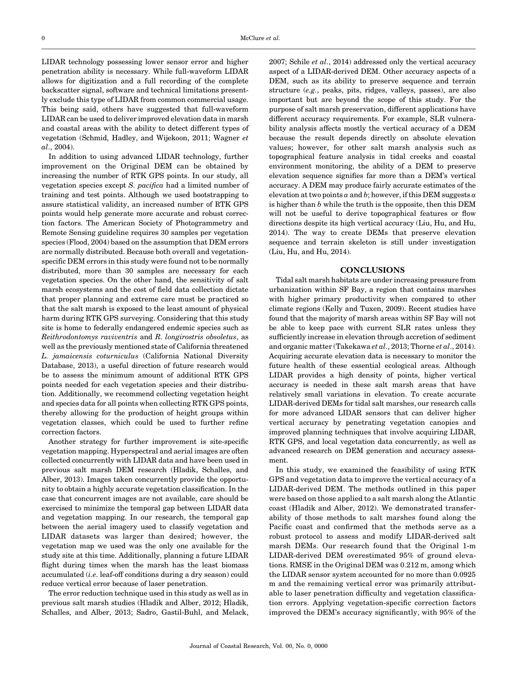LIDAR technology possessing lower sensor error and higher penetration ability is necessary. While full-waveform LIDAR allows for digitization and a full recording of the complete backscatter signal, software and technical limitations presently exclude this type of LIDAR from common commercial usage. This being said, others have suggested that full-waveform LIDAR can be used to deliver improved elevation data in marsh and coastal areas with the ability to detect different types of vegetation (Schmid, Hadley, and Wijekoon, 2011; Wagner et al., 2004).

In addition to using advanced LIDAR technology, further improvement on the Original DEM can be obtained by increasing the number of RTK GPS points. In our study, all vegetation species except S. pacifica had a limited number of training and test points. Although we used bootstrapping to assure statistical validity, an increased number of RTK GPS points would help generate more accurate and robust correction factors. The American Society of Photogrammetry and Remote Sensing guideline requires 30 samples per vegetation species (Flood, 2004) based on the assumption that DEM errors are normally distributed. Because both overall and vegetationspecific DEM errors in this study were found not to be normally distributed, more than 30 samples are necessary for each vegetation species. On the other hand, the sensitivity of salt marsh ecosystems and the cost of field data collection dictate that proper planning and extreme care must be practiced so that the salt marsh is exposed to the least amount of physical harm during RTK GPS surveying. Considering that this study site is home to federally endangered endemic species such as Reithrodontomys raviventris and R. longirostris obsoletus, as well as the previously mentioned state of California threatened L. jamaicensis coturniculus (California National Diversity Database, 2013), a useful direction of future research would be to assess the minimum amount of additional RTK GPS points needed for each vegetation species and their distribution. Additionally, we recommend collecting vegetation height and species data for all points when collecting RTK GPS points, thereby allowing for the production of height groups within vegetation classes, which could be used to further refine correction factors.

Another strategy for further improvement is site-specific vegetation mapping. Hyperspectral and aerial images are often collected concurrently with LIDAR data and have been used in previous salt marsh DEM research (Hladik, Schalles, and Alber, 2013). Images taken concurrently provide the opportunity to obtain a highly accurate vegetation classification. In the case that concurrent images are not available, care should be exercised to minimize the temporal gap between LIDAR data and vegetation mapping. In our research, the temporal gap between the aerial imagery used to classify vegetation and LIDAR datasets was larger than desired; however, the vegetation map we used was the only one available for the study site at this time. Additionally, planning a future LIDAR flight during times when the marsh has the least biomass accumulated (i.e. leaf-off conditions during a dry season) could reduce vertical error because of laser penetration.

The error reduction technique used in this study as well as in previous salt marsh studies (Hladik and Alber, 2012; Hladik, Schalles, and Alber, 2013; Sadro, Gastil-Buhl, and Melack,

2007; Schile  $et$   $al., 2014)$  addressed only the vertical accuracy aspect of a LIDAR-derived DEM. Other accuracy aspects of a DEM, such as its ability to preserve sequence and terrain structure (e.g., peaks, pits, ridges, valleys, passes), are also important but are beyond the scope of this study. For the purpose of salt marsh preservation, different applications have different accuracy requirements. For example, SLR vulnerability analysis affects mostly the vertical accuracy of a DEM because the result depends directly on absolute elevation values; however, for other salt marsh analysis such as topographical feature analysis in tidal creeks and coastal environment monitoring, the ability of a DEM to preserve elevation sequence signifies far more than a DEM's vertical accuracy. A DEM may produce fairly accurate estimates of the elevation at two points  $a$  and  $b$ ; however, if this DEM suggests  $a$ is higher than  $b$  while the truth is the opposite, then this  $DEM$ will not be useful to derive topographical features or flow directions despite its high vertical accuracy (Liu, Hu, and Hu, 2014). The way to create DEMs that preserve elevation sequence and terrain skeleton is still under investigation (Liu, Hu, and Hu, 2014).

#### **CONCLUSIONS**

Tidal salt marsh habitats are under increasing pressure from urbanization within SF Bay, a region that contains marshes with higher primary productivity when compared to other climate regions (Kelly and Tuxen, 2009). Recent studies have found that the majority of marsh areas within SF Bay will not be able to keep pace with current SLR rates unless they sufficiently increase in elevation through accretion of sediment and organic matter (Takekawa et al., 2013; Thorne et al., 2014). Acquiring accurate elevation data is necessary to monitor the future health of these essential ecological areas. Although LIDAR provides a high density of points, higher vertical accuracy is needed in these salt marsh areas that have relatively small variations in elevation. To create accurate LIDAR-derived DEMs for tidal salt marshes, our research calls for more advanced LIDAR sensors that can deliver higher vertical accuracy by penetrating vegetation canopies and improved planning techniques that involve acquiring LIDAR, RTK GPS, and local vegetation data concurrently, as well as advanced research on DEM generation and accuracy assessment.

In this study, we examined the feasibility of using RTK GPS and vegetation data to improve the vertical accuracy of a LIDAR-derived DEM. The methods outlined in this paper were based on those applied to a salt marsh along the Atlantic coast (Hladik and Alber, 2012). We demonstrated transferability of those methods to salt marshes found along the Pacific coast and confirmed that the methods serve as a robust protocol to assess and modify LIDAR-derived salt marsh DEMs. Our research found that the Original 1-m LIDAR-derived DEM overestimated 95% of ground elevations. RMSE in the Original DEM was 0.212 m, among which the LIDAR sensor system accounted for no more than 0.0925 m and the remaining vertical error was primarily attributable to laser penetration difficulty and vegetation classification errors. Applying vegetation-specific correction factors improved the DEM's accuracy significantly, with 95% of the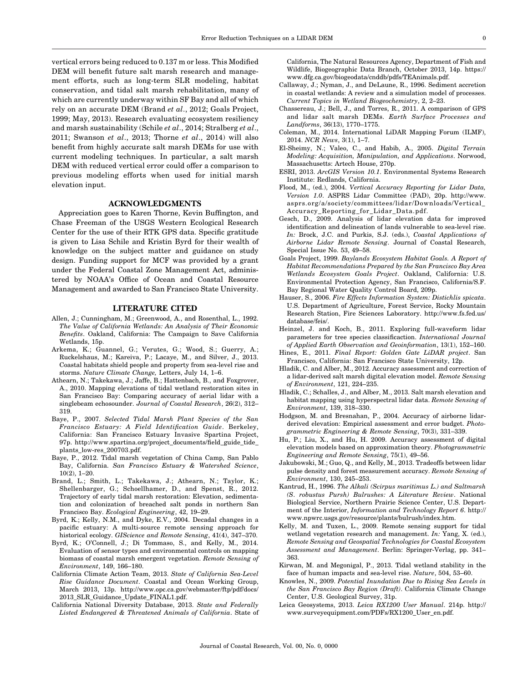vertical errors being reduced to 0.137 m or less. This Modified DEM will benefit future salt marsh research and management efforts, such as long-term SLR modeling, habitat conservation, and tidal salt marsh rehabilitation, many of which are currently underway within SF Bay and all of which rely on an accurate DEM (Brand et al., 2012; Goals Project, 1999; May, 2013). Research evaluating ecosystem resiliency and marsh sustainability (Schile et al., 2014; Stralberg et al., 2011; Swanson et al., 2013; Thorne et al., 2014) will also benefit from highly accurate salt marsh DEMs for use with current modeling techniques. In particular, a salt marsh DEM with reduced vertical error could offer a comparison to previous modeling efforts when used for initial marsh elevation input.

# ACKNOWLEDGMENTS

Appreciation goes to Karen Thorne, Kevin Buffington, and Chase Freeman of the USGS Western Ecological Research Center for the use of their RTK GPS data. Specific gratitude is given to Lisa Schile and Kristin Byrd for their wealth of knowledge on the subject matter and guidance on study design. Funding support for MCF was provided by a grant under the Federal Coastal Zone Management Act, administered by NOAA's Office of Ocean and Coastal Resource Management and awarded to San Francisco State University.

# LITERATURE CITED

- Allen, J.; Cunningham, M.; Greenwood, A., and Rosenthal, L., 1992. The Value of California Wetlands: An Analysis of Their Economic Benefits. Oakland, California: The Campaign to Save California Wetlands, 15p.
- Arkema, K.; Guannel, G.; Verutes, G.; Wood, S.; Guerry, A.; Ruckelshaus, M.; Kareiva, P.; Lacaye, M., and Silver, J., 2013. Coastal habitats shield people and property from sea-level rise and storms. Nature Climate Change, Letters, July 14, 1–6.
- Athearn, N.; Takekawa, J.; Jaffe, B.; Hattenbach, B., and Foxgrover, A., 2010. Mapping elevations of tidal wetland restoration sites in San Francisco Bay: Comparing accuracy of aerial lidar with a singlebeam echosounder. Journal of Coastal Research, 26(2), 312– 319.
- Baye, P., 2007. Selected Tidal Marsh Plant Species of the San Francisco Estuary: A Field Identification Guide. Berkeley, California: San Francisco Estuary Invasive Spartina Project, 97p. http://www.spartina.org/project\_documents/field\_guide\_tide\_ plants\_low-res\_200703.pdf.
- Baye, P., 2012. Tidal marsh vegetation of China Camp, San Pablo Bay, California. San Francisco Estuary & Watershed Science, 10(2), 1–20.
- Brand, L.; Smith, L.; Takekawa, J.; Athearn, N.; Taylor, K.; Shellenbarger, G.; Schoellhamer, D., and Spenst, R., 2012. Trajectory of early tidal marsh restoration: Elevation, sedimentation and colonization of breached salt ponds in northern San Francisco Bay. Ecological Engineering, 42, 19–29.
- Byrd, K.; Kelly, N.M., and Dyke, E.V., 2004. Decadal changes in a pacific estuary: A multi-source remote sensing approach for historical ecology. GIScience and Remote Sensing, 41(4), 347–370.
- Byrd, K.; O'Connell, J.; Di Tommaso, S., and Kelly, M., 2014. Evaluation of sensor types and environmental controls on mapping biomass of coastal marsh emergent vegetation. Remote Sensing of Environment, 149, 166–180.
- California Climate Action Team, 2013. State of California Sea-Level Rise Guidance Document. Coastal and Ocean Working Group, March 2013, 13p. http://www.opc.ca.gov/webmaster/ftp/pdf/docs/ 2013\_SLR\_Guidance\_Update\_FINAL1.pdf.
- California National Diversity Database, 2013. State and Federally Listed Endangered & Threatened Animals of California. State of

California, The Natural Resources Agency, Department of Fish and Wildlife, Biogeographic Data Branch, October 2013, 14p. https:// www.dfg.ca.gov/biogeodata/cnddb/pdfs/TEAnimals.pdf.

- Callaway, J.; Nyman, J., and DeLaune, R., 1996. Sediment accretion in coastal wetlands: A review and a simulation model of processes. Current Topics in Wetland Biogeochemistry, 2, 2–23.
- Chassereau, J.; Bell, J., and Torres, R., 2011. A comparison of GPS and lidar salt marsh DEMs. Earth Surface Processes and Landforms, 36(13), 1770–1775.
- Coleman, M., 2014. International LiDAR Mapping Forum (ILMF), 2014. NCR News, 3(1), 1–7.
- El-Sheimy, N.; Valeo, C., and Habib, A., 2005. Digital Terrain Modeling: Acquisition, Manipulation, and Applications. Norwood, Massachusetts: Artech House, 270p.
- ESRI, 2013. ArcGIS Version 10.1. Environmental Systems Research Institute: Redlands, California.
- Flood, M., (ed.), 2004. Vertical Accuracy Reporting for Lidar Data, Version 1.0. ASPRS Lidar Committee (PAD), 20p. http://www. asprs.org/a/society/committees/lidar/Downloads/Vertical\_ Accuracy\_Reporting\_for\_Lidar\_Data.pdf.
- Gesch, D., 2009. Analysis of lidar elevation data for improved identification and delineation of lands vulnerable to sea-level rise. In: Brock, J.C. and Purkis, S.J. (eds.), Coastal Applications of Airborne Lidar Remote Sensing. Journal of Coastal Research, Special Issue No. 53, 49–58.
- Goals Project, 1999. Baylands Ecosystem Habitat Goals. A Report of Habitat Recommendations Prepared by the San Francisco Bay Area Wetlands Ecosystem Goals Project. Oakland, California: U.S. Environmental Protection Agency, San Francisco, California/S.F. Bay Regional Water Quality Control Board, 209p.
- Hauser, S., 2006. Fire Effects Information System: Distichlis spicata. U.S. Department of Agriculture, Forest Service, Rocky Mountain Research Station, Fire Sciences Laboratory. http://www.fs.fed.us/ database/feis/.
- Heinzel, J. and Koch, B., 2011. Exploring full-waveform lidar parameters for tree species classificaction. International Journal of Applied Earth Observation and Geoinformation, 13(1), 152–160.
- Hines, E., 2011. Final Report: Golden Gate LiDAR project. San Francisco, California: San Francisco State University, 12p.
- Hladik, C. and Alber, M., 2012. Accuracy assessment and correction of a lidar-derived salt marsh digital elevation model. Remote Sensing of Environment, 121, 224–235.
- Hladik, C.; Schalles, J., and Alber, M., 2013. Salt marsh elevation and habitat mapping using hyperspectral lidar data. Remote Sensing of Environment, 139, 318–330.
- Hodgson, M. and Bresnahan, P., 2004. Accuracy of airborne lidarderived elevation: Empirical assessment and error budget. Photogrammetric Engineering & Remote Sensing, 70(3), 331–339.
- Hu, P.; Liu, X., and Hu, H. 2009. Accuracy assessment of digital elevation models based on approximation theory. Photogrammetric Engineering and Remote Sensing, 75(1), 49–56.
- Jakubowski, M.; Guo, Q., and Kelly, M., 2013. Tradeoffs between lidar pulse density and forest measurement accuracy. Remote Sensing of Environment, 130, 245–253.
- Kantrud, H., 1996. The Alkali (Scirpus maritimus L.) and Saltmarsh (S. robustus Pursh) Bulrushes: A Literature Review. National Biological Service, Northern Prairie Science Center, U.S. Department of the Interior, Information and Technology Report 6. http:// www.npwrc.usgs.gov/resource/plants/bulrush/index.htm.
- Kelly, M. and Tuxen, L., 2009. Remote sensing support for tidal wetland vegetation research and management. In: Yang, X. (ed.), Remote Sensing and Geospatial Technologies for Coastal Ecosystem Assessment and Management. Berlin: Springer-Verlag, pp. 341– 363.
- Kirwan, M. and Megonigal, P., 2013. Tidal wetland stability in the face of human impacts and sea-level rise. Nature, 504, 53–60.
- Knowles, N., 2009. Potential Inundation Due to Rising Sea Levels in the San Francisco Bay Region (Draft). California Climate Change Center, U.S. Geological Survey, 31p.
- Leica Geosystems, 2013. Leica RX1200 User Manual. 214p. http:// www.surveyequipment.com/PDFs/RX1200\_User\_en.pdf.